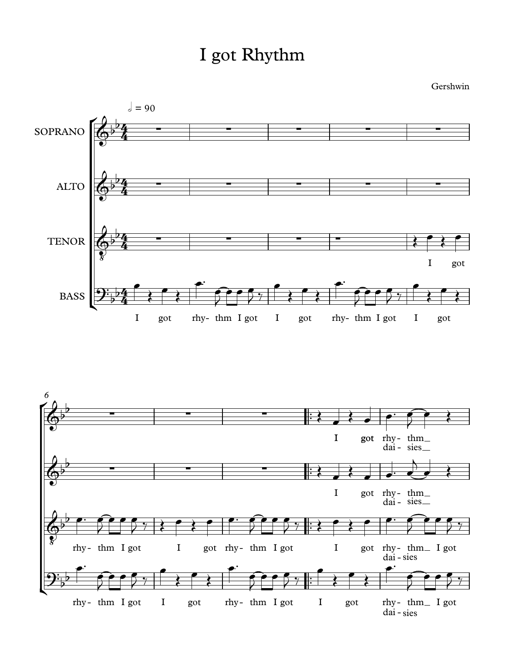## I got Rhythm

Gershwin



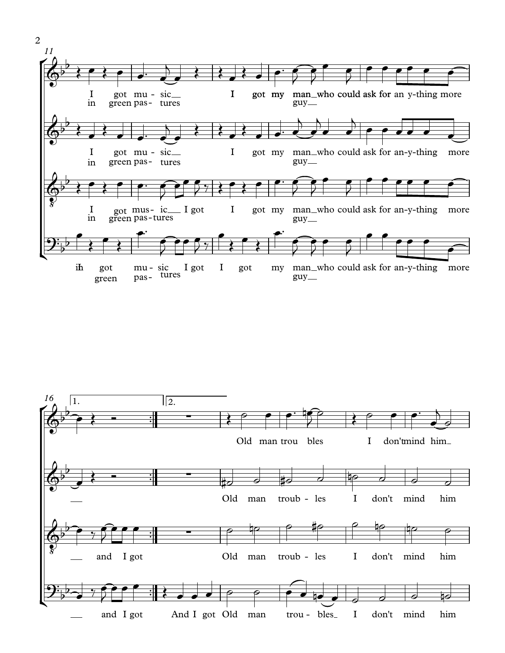

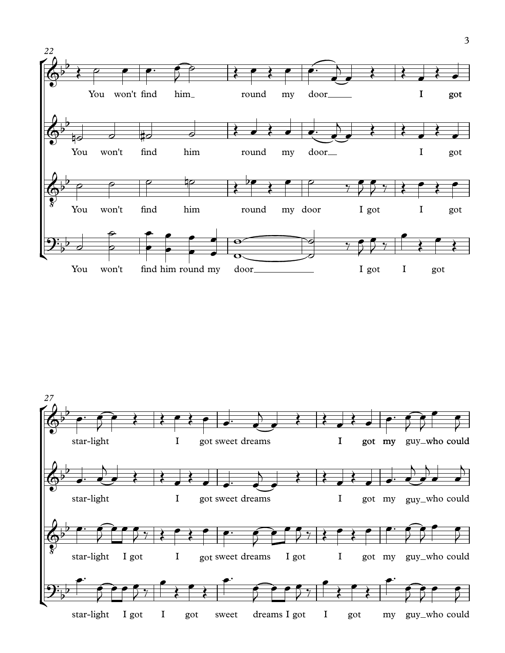